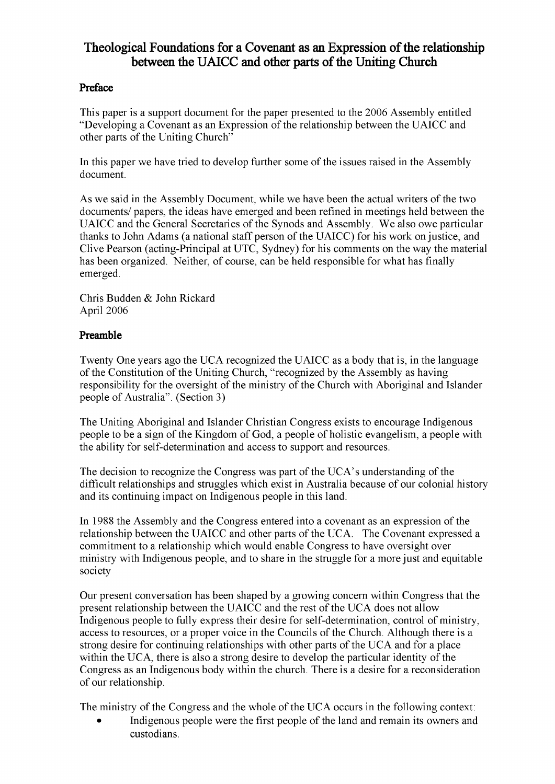# **Theological Foundations for a Covenant as an Expression of the relationship between** the UAICC and other parts of the Uniting Church

# **Preface**

This paper is a support document for the paper presented to the 2006 Assembly entitled "Developing a Covenant as an Expression of the relationship between the UAICC and other parts of the Uniting Church"

In this paper we have tried to develop further some of the issues raised in the Assembly document.

As we said in the Assembly Document, while we have been the actual writers of the two documents/ papers, the ideas have emerged and been refined in meetings held between the UAICC and the General Secretaries of the Synods and Assembly. We also owe particular thanks to John Adams (a national staff person of the UAICC) for his work on justice, and Clive Pearson (acting-Principal at UTC, Sydney) for his comments on the way the material has been organized. Neither, of course, can be held responsible for what has finally emerged.

Chris Budden & John Rickard April 2006

# **Preamble**

Twenty One years ago the UCA recognized the UAICC as a body that is, in the language of the Constitution of the Uniting Church, "recognized by the Assembly as having responsibility for the oversight of the ministry of the Church with Aboriginal and Islander people of Australia". (Section 3)

The Uniting Aboriginal and Islander Christian Congress exists to encourage Indigenous people to be a sign of the Kingdom of God, a people of holistic evangelism, a people with the ability for self-determination and access to support and resources.

The decision to recognize the Congress was part of the UCA's understanding of the difficult relationships and struggles which exist in Australia because of our colonial history and its continuing impact on Indigenous people in this land.

In 1988 the Assembly and the Congress entered into a covenant as an expression of the relationship between the UAICC and other parts of the UCA. The Covenant expressed a commitment to a relationship which would enable Congress to have oversight over ministry with Indigenous people, and to share in the struggle for a more just and equitable society

Our present conversation has been shaped by a growing concern within Congress that the present relationship between the UAICC and the rest of the UCA does not allow Indigenous people to fully express their desire for self-determination, control of ministry, access to resources, or a proper voice in the Councils of the Church. Although there is a strong desire for continuing relationships with other parts of the UCA and for a place within the UCA, there is also a strong desire to develop the particular identity of the Congress as an Indigenous body within the church. There is a desire for a reconsideration of our relationship.

The ministry of the Congress and the whole of the UCA occurs in the following context:

Indigenous people were the first people of the land and remain its owners and custodians.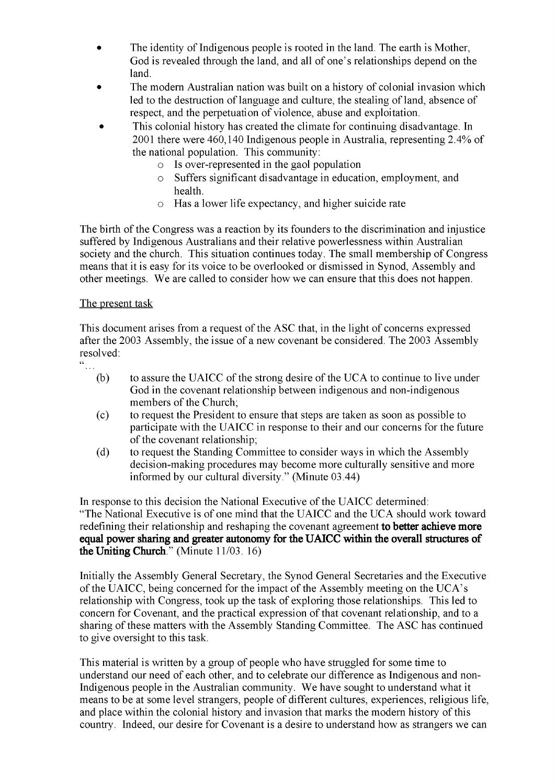- The identity of Indigenous people is rooted in the land. The earth is Mother, God is revealed through the land, and all of one's relationships depend on the land.
- The modern Australian nation was built on a history of colonial invasion which led to the destruction of language and culture, the stealing of land, absence of respect, and the perpetuation of violence, abuse and exploitation.
- This colonial history has created the climate for continuing disadvantage. In 2001 there were 460,140 Indigenous people in Australia, representing 2.4% of the national population. This community:
	- o Is over-represented in the gaol population
	- o Suffers significant disadvantage in education, employment, and health.
	- o Has a lower life expectancy, and higher suicide rate

The birth of the Congress was a reaction by its founders to the discrimination and injustice suffered by Indigenous Australians and their relative powerlessness within Australian society and the church. This situation continues today. The small membership of Congress means that it is easy for its voice to be overlooked or dismissed in Synod, Assembly and other meetings. We are called to consider how we can ensure that this does not happen.

#### The present task

This document arises from a request of the ASC that, in the light of concerns expressed after the 2003 Assembly, the issue of a new covenant be considered. The 2003 Assembly resolved:

- 
- $(b)$  to assure the UAICC of the strong desire of the UCA to continue to live under God in the covenant relationship between indigenous and non-indigenous members of the Church;
- (c) to request the President to ensure that steps are taken as soon as possible to participate with the UAICC in response to their and our concerns for the future of the covenant relationship;
- (d) to request the Standing Committee to consider ways in which the Assembly decision-making procedures may become more culturally sensitive and more informed by our cultural diversity." (Minute 03.44)

In response to this decision the National Executive of the UAICC determined: "The National Executive is of one mind that the UAICC and the UCA should work toward redefining their relationship and reshaping the covenant agreement **to better achieve more equal power sharing and greater autonomy for the UAICC within the overall structures of the Uniting Church**." (Minute 11/03. 16)

Initially the Assembly General Secretary, the Synod General Secretaries and the Executive of the UAICC, being concerned for the impact of the Assembly meeting on the UCA's relationship with Congress, took up the task of exploring those relationships. This led to concern for Covenant, and the practical expression of that covenant relationship, and to a sharing of these matters with the Assembly Standing Committee. The ASC has continued to give oversight to this task.

This material is written by a group of people who have struggled for some time to understand our need of each other, and to celebrate our difference as Indigenous and non-Indigenous people in the Australian community. We have sought to understand what it means to be at some level strangers, people of different cultures, experiences, religious life, and place within the colonial history and invasion that marks the modern history of this country. Indeed, our desire for Covenant is a desire to understand how as strangers we can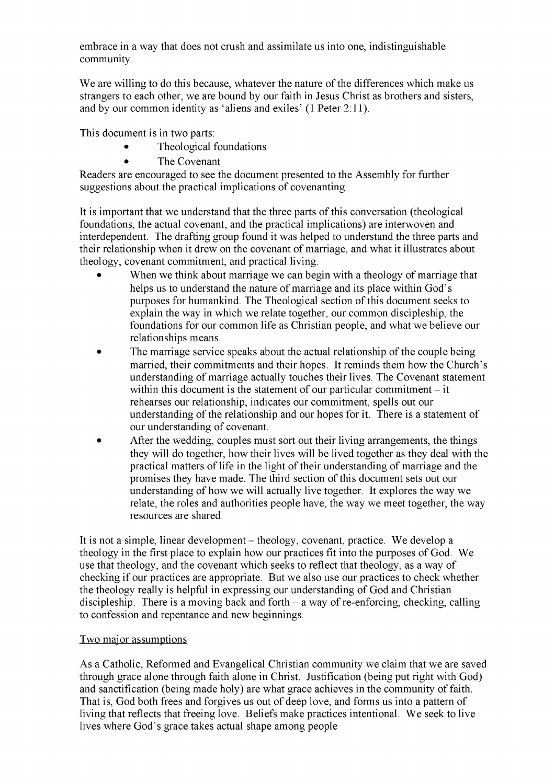embrace in a way that does not crush and assimilate us into one, indistinguishable community.

We are willing to do this because, whatever the nature of the differences which make us strangers to each other, we are bound by our faith in Jesus Christ as brothers and sisters, and by our common identity as 'aliens and exiles' (1 Peter 2:11).

This document is in two parts:

- Theological foundations
- The Covenant

Readers are encouraged to see the document presented to the Assembly for further suggestions about the practical implications of covenanting.

It is important that we understand that the three parts of this conversation (theological foundations, the actual covenant, and the practical implications) are interwoven and interdependent. The drafting group found it was helped to understand the three parts and their relationship when it drew on the covenant of marriage, and what it illustrates about theology, covenant commitment, and practical living.

- When we think about marriage we can begin with a theology of marriage that helps us to understand the nature of marriage and its place within God's purposes for humankind. The Theological section of this document seeks to explain the way in which we relate together, our common discipleship, the foundations for our common life as Christian people, and what we believe our relationships means.
- The marriage service speaks about the actual relationship of the couple being married, their commitments and their hopes. It reminds them how the Church's understanding of marriage actually touches their lives. The Covenant statement within this document is the statement of our particular commitment  $-$  it rehearses our relationship, indicates our commitment, spells out our understanding of the relationship and our hopes for it. There is a statement of our understanding of covenant.
- After the wedding, couples must sort out their living arrangements, the things they will do together, how their lives will be lived together as they deal with the practical matters of life in the light of their understanding of marriage and the promises they have made. The third section of this document sets out our understanding of how we will actually live together. It explores the way we relate, the roles and authorities people have, the way we meet together, the way resources are shared.

It is not a simple, linear development – theology, covenant, practice. We develop a theology in the first place to explain how our practices fit into the purposes of God. We use that theology, and the covenant which seeks to reflect that theology, as a way of checking if our practices are appropriate. But we also use our practices to check whether the theology really is helpful in expressing our understanding of God and Christian discipleship. There is a moving back and forth  $-$  a way of re-enforcing, checking, calling to confession and repentance and new beginnings.

# Two major assumptions

As a Catholic, Reformed and Evangelical Christian community we claim that we are saved through grace alone through faith alone in Christ. Justification (being put right with God) and sanctification (being made holy) are what grace achieves in the community of faith. That is, God both frees and forgives us out of deep love, and forms us into a pattern of living that reflects that freeing love. Beliefs make practices intentional. We seek to live lives where God's grace takes actual shape among people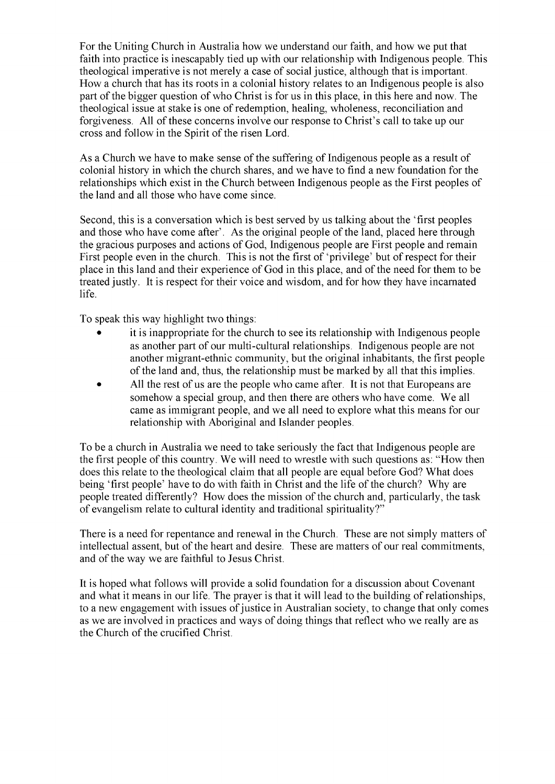For the Uniting Church in Australia how we understand our faith, and how we put that faith into practice is inescapably tied up with our relationship with Indigenous people. This theological imperative is not merely a case of social justice, although that is important. How a church that has its roots in a colonial history relates to an Indigenous people is also part of the bigger question of who Christ is for us in this place, in this here and now. The theological issue at stake is one of redemption, healing, wholeness, reconciliation and forgiveness. All of these concerns involve our response to Christ's call to take up our cross and follow in the Spirit of the risen Lord.

As a Church we have to make sense of the suffering of Indigenous people as a result of colonial history in which the church shares, and we have to find a new foundation for the relationships which exist in the Church between Indigenous people as the First peoples of the land and all those who have come since.

Second, this is a conversation which is best served by us talking about the 'first peoples and those who have come after'. As the original people of the land, placed here through the gracious purposes and actions of God, Indigenous people are First people and remain First people even in the church. This is not the first of 'privilege' but of respect for their place in this land and their experience of God in this place, and of the need for them to be treated justly. It is respect for their voice and wisdom, and for how they have incarnated life.

To speak this way highlight two things:

- it is inappropriate for the church to see its relationship with Indigenous people as another part of our multi-cultural relationships. Indigenous people are not another migrant-ethnic community, but the original inhabitants, the first people of the land and, thus, the relationship must be marked by all that this implies.
- All the rest of us are the people who came after. It is not that Europeans are somehow a special group, and then there are others who have come. We all came as immigrant people, and we all need to explore what this means for our relationship with Aboriginal and Islander peoples.

To be a church in Australia we need to take seriously the fact that Indigenous people are the first people of this country. We will need to wrestle with such questions as: "How then does this relate to the theological claim that all people are equal before God? What does being 'first people' have to do with faith in Christ and the life of the church? Why are people treated differently? How does the mission of the church and, particularly, the task of evangelism relate to cultural identity and traditional spirituality?"

There is a need for repentance and renewal in the Church. These are not simply matters of intellectual assent, but of the heart and desire. These are matters of our real commitments, and of the way we are faithful to Jesus Christ.

It is hoped what follows will provide a solid foundation for a discussion about Covenant and what it means in our life. The prayer is that it will lead to the building of relationships, to a new engagement with issues of justice in Australian society, to change that only comes as we are involved in practices and ways of doing things that reflect who we really are as the Church of the crucified Christ.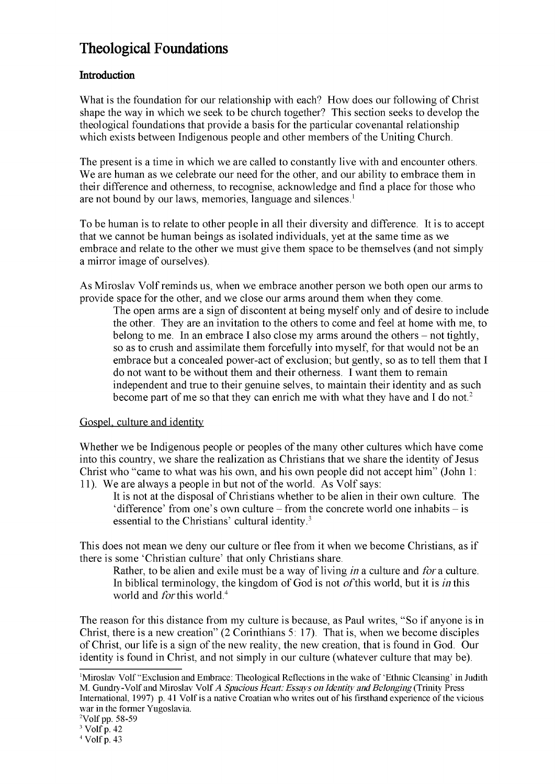# **Theological Foundations**

# **Introduction**

What is the foundation for our relationship with each? How does our following of Christ shape the way in which we seek to be church together? This section seeks to develop the theological foundations that provide a basis for the particular covenantal relationship which exists between Indigenous people and other members of the Uniting Church.

The present is a time in which we are called to constantly live with and encounter others. We are human as we celebrate our need for the other, and our ability to embrace them in their difference and otherness, to recognise, acknowledge and find a place for those who are not bound by our laws, memories, language and silences.<sup>1</sup>

To be human is to relate to other people in all their diversity and difference. It is to accept that we cannot be human beings as isolated individuals, yet at the same time as we embrace and relate to the other we must give them space to be themselves (and not simply a mirror image of ourselves).

As Miroslav Volf reminds us, when we embrace another person we both open our arms to provide space for the other, and we close our arms around them when they come.

The open arms are a sign of discontent at being myself only and of desire to include the other. They are an invitation to the others to come and feel at home with me, to belong to me. In an embrace I also close my arms around the others  $-$  not tightly, so as to crush and assimilate them forcefully into myself, for that would not be an embrace but a concealed power-act of exclusion; but gently, so as to tell them that I do not want to be without them and their otherness. I want them to remain independent and true to their genuine selves, to maintain their identity and as such become part of me so that they can enrich me with what they have and I do not.<sup>2</sup>

# Gospel, culture and identity

Whether we be Indigenous people or peoples of the many other cultures which have come into this country, we share the realization as Christians that we share the identity of Jesus Christ who "came to what was his own, and his own people did not accept him" (John 1: 11). We are always a people in but not of the world. As Volf says:

It is not at the disposal of Christians whether to be alien in their own culture. The 'difference' from one's own culture  $-$  from the concrete world one inhabits  $-$  is essential to the Christians' cultural identity.<sup>3</sup>

This does not mean we deny our culture or flee from it when we become Christians, as if there is some 'Christian culture' that only Christians share.

Rather, to be alien and exile must be a way of living *in* a culture and *for* a culture. In biblical terminology, the kingdom of God is not ofthis world, but it is *in* this world and *for* this world.<sup>4</sup>

The reason for this distance from my culture is because, as Paul writes, "So if anyone is in Christ, there is a new creation" (2 Corinthians 5: 17). That is, when we become disciples of Christ, our life is a sign of the new reality, the new creation, that is found in God. Our identity is found in Christ, and not simply in our culture (whatever culture that may be).

<sup>&</sup>lt;sup>1</sup>Miroslav Volf "Exclusion and Embrace: Theological Reflections in the wake of 'Ethnic Cleansing' in Judith M. Gundry-Volf and Miroslav Volf *A Spacious Heart: Essays on Identity and Belonging* (Trinity Press International, 1997) p. 41 Volfis a native Croatian who writes out of his firsthand experience ofthe vicious war in the former Yugoslavia.

 $2$ Volf pp. 58-59

 $3$  Volf p. 42

 $4$  Volf p. 43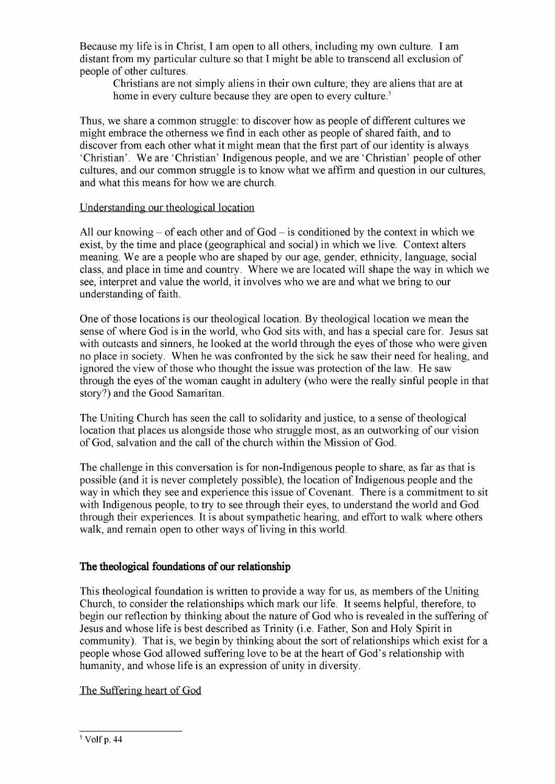Because my life is in Christ, I am open to all others, including my own culture. I am distant from my particular culture so that I might be able to transcend all exclusion of people of other cultures.

Christians are not simply aliens in their own culture; they are aliens that are at home in every culture because they are open to every culture.<sup>5</sup>

Thus, we share a common struggle: to discover how as people of different cultures we might embrace the otherness we find in each other as people of shared faith, and to discover from each other what it might mean that the first part of our identity is always 'Christian'. We are 'Christian' Indigenous people, and we are 'Christian' people of other cultures, and our common struggle is to know what we affirm and question in our cultures, and what this means for how we are church.

#### Understanding our theological location

All our knowing  $-$  of each other and of God  $-$  is conditioned by the context in which we exist, by the time and place (geographical and social) in which we live. Context alters meaning. We are a people who are shaped by our age, gender, ethnicity, language, social class, and place in time and country. Where we are located will shape the way in which we see, interpret and value the world, it involves who we are and what we bring to our understanding of faith.

One of those locations is our theological location. By theological location we mean the sense of where God is in the world, who God sits with, and has a special care for. Jesus sat with outcasts and sinners, he looked at the world through the eyes of those who were given no place in society. When he was confronted by the sick he saw their need for healing, and ignored the view of those who thought the issue was protection of the law. He saw through the eyes of the woman caught in adultery (who were the really sinful people in that story?) and the Good Samaritan.

The Uniting Church has seen the call to solidarity and justice, to a sense of theological location that places us alongside those who struggle most, as an outworking of our vision of God, salvation and the call of the church within the Mission of God.

The challenge in this conversation is for non-Indigenous people to share, as far as that is possible (and it is never completely possible), the location of Indigenous people and the way in which they see and experience this issue of Covenant. There is a commitment to sit with Indigenous people, to try to see through their eyes, to understand the world and God through their experiences. It is about sympathetic hearing, and effort to walk where others walk, and remain open to other ways of living in this world.

# **The theological foundations of our relationship**

This theological foundation is written to provide a way for us, as members of the Uniting Church, to consider the relationships which mark our life. It seems helpful, therefore, to begin our reflection by thinking about the nature of God who is revealed in the suffering of Jesus and whose life is best described as Trinity (i.e. Father, Son and Holy Spirit in community). That is, we begin by thinking about the sort of relationships which exist for a people whose God allowed suffering love to be at the heart of God's relationship with humanity, and whose life is an expression of unity in diversity.

# The Suffering heart of God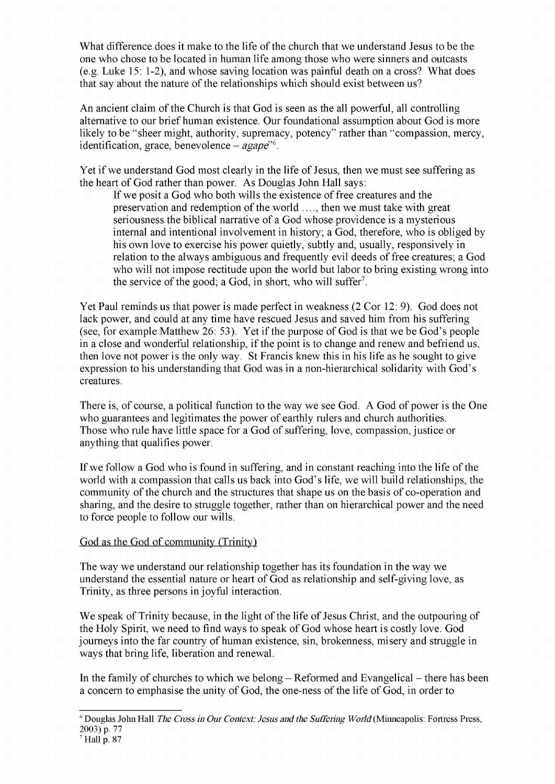What difference does it make to the life of the church that we understand Jesus to be the one who chose to be located in human life among those who were sinners and outcasts (e.g. Luke 15: 1-2), and whose saving location was painful death on a cross? What does that say about the nature of the relationships which should exist between us?

An ancient claim of the Church is that God is seen as the all powerful, all controlling alternative to our brief human existence. Our foundational assumption about God is more likely to be "sheer might, authority, supremacy, potency" rather than "compassion, mercy, identification, grace, benevolence – *agape*<sup>16</sup>.

Yet if we understand God most clearly in the life of Jesus, then we must see suffering as the heart of God rather than power. As Douglas John Hall says:

If we posit a God who both wills the existence of free creatures and the preservation and redemption of the world ...., then we must take with great seriousness the biblical narrative of a God whose providence is a mysterious internal and intentional involvement in history; a God, therefore, who is obliged by his own love to exercise his power quietly, subtly and, usually, responsively in relation to the always ambiguous and frequently evil deeds of free creatures; a God who will not impose rectitude upon the world but labor to bring existing wrong into the service of the good; a God, in short, who will suffer<sup>7</sup>.

Yet Paul reminds us that power is made perfect in weakness (2 Cor 12: 9). God does not lack power, and could at any time have rescued Jesus and saved him from his suffering (see, for example Matthew 26: 53). Yet if the purpose of God is that we be God's people in a close and wonderful relationship, if the point is to change and renew and befriend us, then love not power is the only way. St Francis knew this in his life as he sought to give expression to his understanding that God was in a non-hierarchical solidarity with God's creatures.

There is, of course, a political function to the way we see God. A God of power is the One who guarantees and legitimates the power of earthly rulers and church authorities. Those who rule have little space for a God of suffering, love, compassion, justice or anything that qualifies power.

If we follow a God who is found in suffering, and in constant reaching into the life of the world with a compassion that calls us back into God's life, we will build relationships, the community of the church and the structures that shape us on the basis of co-operation and sharing, and the desire to struggle together, rather than on hierarchical power and the need to force people to follow our wills.

# God as the God of community (Trinity)

The way we understand our relationship together has its foundation in the way we understand the essential nature or heart of God as relationship and self-giving love, as Trinity, as three persons in joyful interaction.

We speak of Trinity because, in the light of the life of Jesus Christ, and the outpouring of the Holy Spirit, we need to find ways to speak of God whose heart is costly love. God journeys into the far country of human existence, sin, brokenness, misery and struggle in ways that bring life, liberation and renewal.

In the family of churches to which we belong  $-$  Reformed and Evangelical  $-$  there has been a concern to emphasise the unity of God, the one-ness of the life of God, in order to

<sup>6</sup> Douglas John Hall *The Crossin Our Context: Jesus and the Suffering World* (Minneapolis: Fortress Press, 2003) p. 77

 $<sup>7</sup>$  Hall p. 87</sup>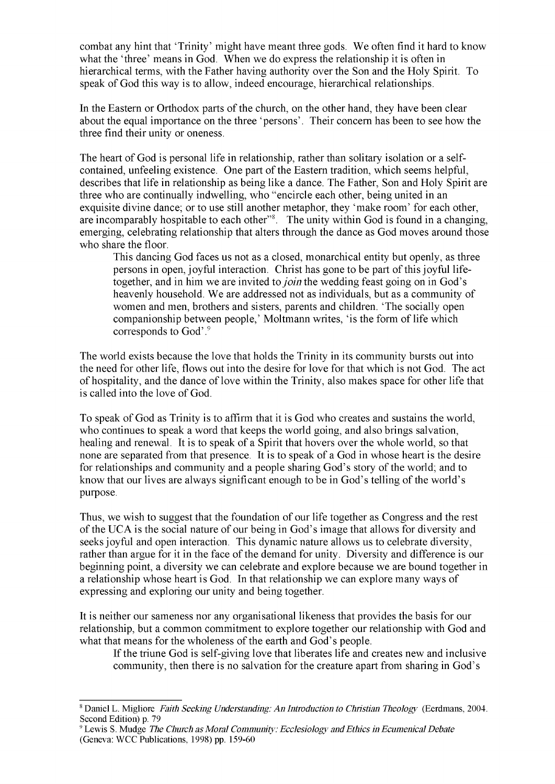combat any hint that 'Trinity' might have meant three gods. We often find it hard to know what the 'three' means in God. When we do express the relationship it is often in hierarchical terms, with the Father having authority over the Son and the Holy Spirit. To speak of God this way is to allow, indeed encourage, hierarchical relationships.

In the Eastern or Orthodox parts of the church, on the other hand, they have been clear about the equal importance on the three 'persons'. Their concern has been to see how the three find their unity or oneness.

The heart of God is personal life in relationship, rather than solitary isolation or a selfcontained, unfeeling existence. One part of the Eastern tradition, which seems helpful, describes that life in relationship as being like a dance. The Father, Son and Holy Spirit are three who are continually indwelling, who "encircle each other, being united in an exquisite divine dance; or to use still another metaphor, they 'make room' for each other, are incomparably hospitable to each other"<sup>8</sup>. The unity within God is found in a changing, emerging, celebrating relationship that alters through the dance as God moves around those who share the floor.

This dancing God faces us not as a closed, monarchical entity but openly, as three persons in open, joyful interaction. Christ has gone to be part of this joyful lifetogether, and in him we are invited to*join* the wedding feast going on in God's heavenly household. We are addressed not as individuals, but as a community of women and men, brothers and sisters, parents and children. 'The socially open companionship between people,' Moltmann writes, 'is the form of life which corresponds to God'.<sup>9</sup>

The world exists because the love that holds the Trinity in its community bursts out into the need for other life, flows out into the desire for love for that which is not God. The act of hospitality, and the dance of love within the Trinity, also makes space for other life that is called into the love of God.

To speak of God as Trinity is to affirm that it is God who creates and sustains the world, who continues to speak a word that keeps the world going, and also brings salvation, healing and renewal. It is to speak of a Spirit that hovers over the whole world, so that none are separated from that presence. It is to speak of a God in whose heart is the desire for relationships and community and a people sharing God's story of the world; and to know that our lives are always significant enough to be in God's telling of the world's purpose.

Thus, we wish to suggest that the foundation of our life together as Congress and the rest of the UCA is the social nature of our being in God's image that allows for diversity and seeks joyful and open interaction. This dynamic nature allows us to celebrate diversity, rather than argue for it in the face of the demand for unity. Diversity and difference is our beginning point, a diversity we can celebrate and explore because we are bound together in a relationship whose heart is God. In that relationship we can explore many ways of expressing and exploring our unity and being together.

It is neither our sameness nor any organisational likeness that provides the basis for our relationship, but a common commitment to explore together our relationship with God and what that means for the wholeness of the earth and God's people.

If the triune God is self-giving love that liberates life and creates new and inclusive community, then there is no salvation for the creature apart from sharing in God's

<sup>8</sup> Daniel L. Migliore *Faith Seeking Understanding: An Introduction to Christian Theology* (Eerdmans, 2004. Second Edition) p. 79

<sup>9</sup> Lewis S. Mudge *The Church asMoral Community: Ecclesiology andEthicsin EcumenicalDebate* (Geneva: WCC Publications, 1998) pp. 159-60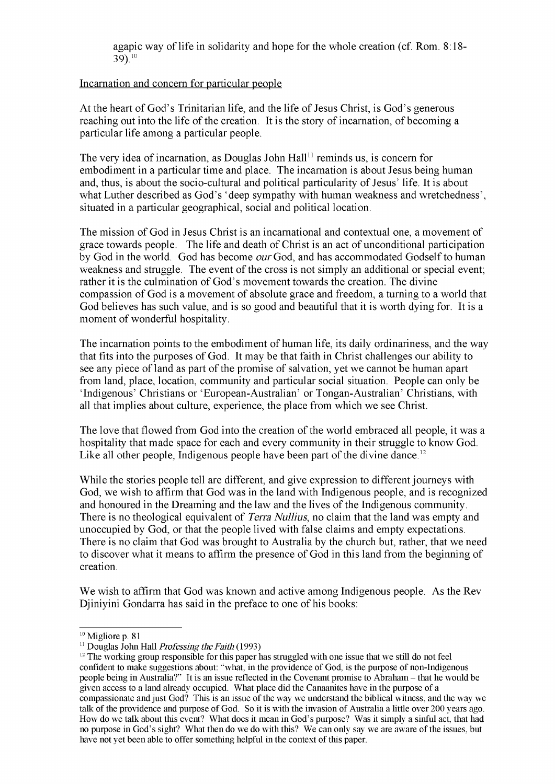agapic way of life in solidarity and hope for the whole creation (cf. Rom. 8:18-39).10

#### Incarnation and concern for particular people

At the heart of God's Trinitarian life, and the life of Jesus Christ, is God's generous reaching out into the life of the creation. It is the story of incarnation, of becoming a particular life among a particular people.

The very idea of incarnation, as Douglas John  $Hall<sup>11</sup>$  reminds us, is concern for embodiment in a particular time and place. The incarnation is about Jesus being human and, thus, is about the socio-cultural and political particularity of Jesus' life. It is about what Luther described as God's 'deep sympathy with human weakness and wretchedness', situated in a particular geographical, social and political location.

The mission of God in Jesus Christ is an incarnational and contextual one, a movement of grace towards people. The life and death of Christ is an act of unconditional participation by God in the world. God has become *our* God, and has accommodated Godselfto human weakness and struggle. The event of the cross is not simply an additional or special event; rather it is the culmination of God's movement towards the creation. The divine compassion of God is a movement of absolute grace and freedom, a turning to a world that God believes has such value, and is so good and beautiful that it is worth dying for. It is a moment of wonderful hospitality.

The incarnation points to the embodiment of human life, its daily ordinariness, and the way that fits into the purposes of God. It may be that faith in Christ challenges our ability to see any piece of land as part of the promise of salvation, yet we cannot be human apart from land, place, location, community and particular social situation. People can only be 'Indigenous' Christians or 'European-Australian' or Tongan-Australian' Christians, with all that implies about culture, experience, the place from which we see Christ.

The love that flowed from God into the creation of the world embraced all people, it was a hospitality that made space for each and every community in their struggle to know God. Like all other people, Indigenous people have been part of the divine dance.<sup>12</sup>

While the stories people tell are different, and give expression to different journeys with God, we wish to affirm that God was in the land with Indigenous people, and is recognized and honoured in the Dreaming and the law and the lives of the Indigenous community. There is no theological equivalent of *Terra Nullius,* no claim that the land was empty and unoccupied by God, or that the people lived with false claims and empty expectations. There is no claim that God was brought to Australia by the church but, rather, that we need to discover what it means to affirm the presence of God in this land from the beginning of creation.

We wish to affirm that God was known and active among Indigenous people. As the Rev Djiniyini Gondarra has said in the preface to one of his books:

<sup>&</sup>lt;sup>10</sup> Migliore p. 81

<sup>&</sup>lt;sup>11</sup> Douglas John Hall *Professing the Faith* (1993)

<sup>&</sup>lt;sup>12</sup> The working group responsible for this paper has struggled with one issue that we still do not feel confident to make suggestions about: "what, in the providence of God, is the purpose of non-Indigenous people being in Australia?" It is an issue reflected in the Covenant promise to Abraham – that he would be given access to a land already occupied. What place did the Canaanites have in the purpose of a compassionate andjust God? This is an issue ofthe way we understand the biblical witness, and the way we talk ofthe providence and purpose of God. So it is with the invasion of Australia a little over 200 years ago. How do we talk about this event? What does it mean in God's purpose? Was it simply a sinful act, that had no purpose in God's sight? What then do we do with this? We can only say we are aware ofthe issues, but have not yet been able to offer something helpful in the context of this paper.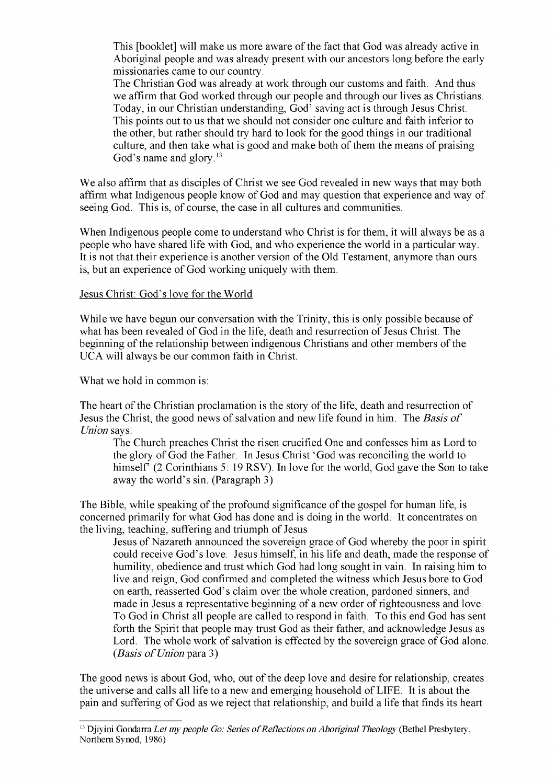This [booklet] will make us more aware of the fact that God was already active in Aboriginal people and was already present with our ancestors long before the early missionaries came to our country.

The Christian God was already at work through our customs and faith. And thus we affirm that God worked through our people and through our lives as Christians. Today, in our Christian understanding, God' saving act is through Jesus Christ. This points out to us that we should not consider one culture and faith inferior to the other, but rather should try hard to look for the good things in our traditional culture, and then take what is good and make both of them the means of praising God's name and glory.<sup>13</sup>

We also affirm that as disciples of Christ we see God revealed in new ways that may both affirm what Indigenous people know of God and may question that experience and way of seeing God. This is, of course, the case in all cultures and communities.

When Indigenous people come to understand who Christ is for them, it will always be as a people who have shared life with God, and who experience the world in a particular way. It is not that their experience is another version of the Old Testament, anymore than ours is, but an experience of God working uniquely with them.

#### Jesus Christ: God's love for the World

While we have begun our conversation with the Trinity, this is only possible because of what has been revealed of God in the life, death and resurrection of Jesus Christ. The beginning of the relationship between indigenous Christians and other members of the UCA will always be our common faith in Christ.

What we hold in common is:

The heart of the Christian proclamation is the story of the life, death and resurrection of Jesus the Christ, the good news of salvation and new life found in him. The *Basis of Union* says:

The Church preaches Christ the risen crucified One and confesses him as Lord to the glory of God the Father. In Jesus Christ 'God was reconciling the world to himself' (2 Corinthians 5: 19 RSV). In love for the world, God gave the Son to take away the world's sin. (Paragraph 3)

The Bible, while speaking of the profound significance of the gospel for human life, is concerned primarily for what God has done and is doing in the world. It concentrates on the living, teaching, suffering and triumph of Jesus

Jesus of Nazareth announced the sovereign grace of God whereby the poor in spirit could receive God's love. Jesus himself, in his life and death, made the response of humility, obedience and trust which God had long sought in vain. In raising him to live and reign, God confirmed and completed the witness which Jesus bore to God on earth, reasserted God's claim over the whole creation, pardoned sinners, and made in Jesus a representative beginning of a new order ofrighteousness and love. To God in Christ all people are called to respond in faith. To this end God has sent forth the Spirit that people may trust God as their father, and acknowledge Jesus as Lord. The whole work of salvation is effected by the sovereign grace of God alone. *(Basis ofUnion* para 3)

The good news is about God, who, out of the deep love and desire for relationship, creates the universe and calls all life to a new and emerging household ofLIFE. It is about the pain and suffering of God as we reject that relationship, and build a life that finds its heart

<sup>&</sup>lt;sup>13</sup> Djiyini Gondarra *Let my people Go: Series of Reflections on Aboriginal Theology* (Bethel Presbytery, Northern Synod, 1986)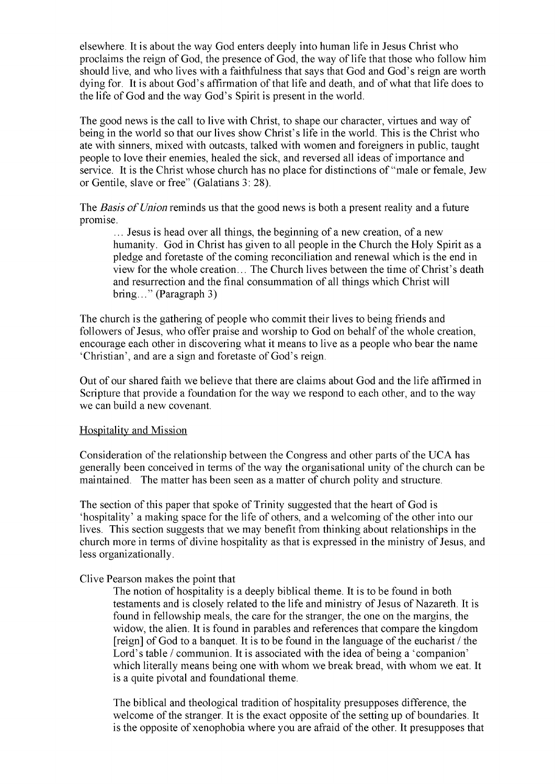elsewhere. It is about the way God enters deeply into human life in Jesus Christ who proclaims the reign of God, the presence of God, the way of life that those who follow him should live, and who lives with a faithfulness that says that God and God's reign are worth dying for. It is about God's affirmation ofthat life and death, and ofwhat that life does to the life of God and the way God's Spirit is present in the world.

The good news is the call to live with Christ, to shape our character, virtues and way of being in the world so that our lives show Christ's life in the world. This is the Christ who ate with sinners, mixed with outcasts, talked with women and foreigners in public, taught people to love their enemies, healed the sick, and reversed all ideas of importance and service. It is the Christ whose church has no place for distinctions of "male or female, Jew or Gentile, slave or free" (Galatians 3: 28).

The *Basis of Union* reminds us that the good news is both a present reality and a future promise.

... Jesus is head over all things, the beginning of a new creation, of a new humanity. God in Christ has given to all people in the Church the Holy Spirit as a pledge and foretaste of the coming reconciliation and renewal which is the end in view for the whole creation... The Church lives between the time of Christ's death and resurrection and the final consummation of all things which Christ will bring..." (Paragraph 3)

The church is the gathering of people who commit their lives to being friends and followers of Jesus, who offer praise and worship to God on behalf of the whole creation, encourage each other in discovering what it means to live as a people who bear the name 'Christian', and are a sign and foretaste of God's reign.

Out of our shared faith we believe that there are claims about God and the life affirmed in Scripture that provide a foundation for the way we respond to each other, and to the way we can build a new covenant.

#### Hospitality and Mission

Consideration of the relationship between the Congress and other parts of the UCA has generally been conceived in terms of the way the organisational unity of the church can be maintained. The matter has been seen as a matter of church polity and structure.

The section of this paper that spoke of Trinity suggested that the heart of God is 'hospitality' a making space for the life of others, and a welcoming of the other into our lives. This section suggests that we may benefit from thinking about relationships in the church more in terms of divine hospitality as that is expressed in the ministry of Jesus, and less organizationally.

#### Clive Pearson makes the point that

The notion of hospitality is a deeply biblical theme. It is to be found in both testaments and is closely related to the life and ministry of Jesus of Nazareth. It is found in fellowship meals, the care for the stranger, the one on the margins, the widow, the alien. It is found in parables and references that compare the kingdom  $[reign]$  of God to a banquet. It is to be found in the language of the eucharist / the Lord's table / communion. It is associated with the idea of being a 'companion' which literally means being one with whom we break bread, with whom we eat. It is a quite pivotal and foundational theme.

The biblical and theological tradition of hospitality presupposes difference, the welcome of the stranger. It is the exact opposite of the setting up of boundaries. It is the opposite of xenophobia where you are afraid of the other. It presupposes that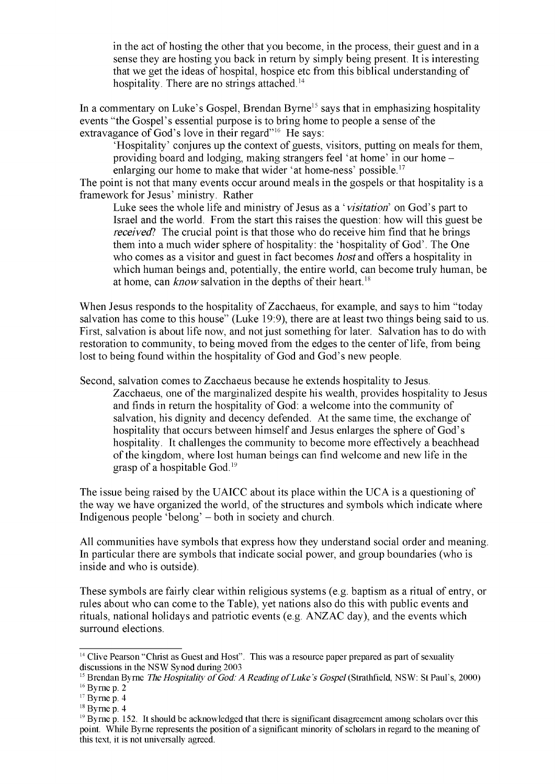in the act of hosting the other that you become, in the process, their guest and in a sense they are hosting you back in return by simply being present. It is interesting that we get the ideas of hospital, hospice etc from this biblical understanding of hospitality. There are no strings attached.<sup>14</sup>

In a commentary on Luke's Gospel, Brendan Byrne<sup>15</sup> says that in emphasizing hospitality events "the Gospel's essential purpose is to bring home to people a sense of the extravagance of God's love in their regard"<sup>16</sup> He says:

'Hospitality' conjures up the context of guests, visitors, putting on meals for them, providing board and lodging, making strangers feel 'at home' in our home enlarging our home to make that wider 'at home-ness' possible.<sup>17</sup>

The point is not that many events occur around meals in the gospels or that hospitality is a framework for Jesus' ministry. Rather

Luke sees the whole life and ministry of Jesus as a '*visitation*' on God's part to Israel and the world. From the start this raises the question: how will this guest be *received*? The crucial point is that those who do receive him find that he brings them into a much wider sphere of hospitality: the 'hospitality of God'. The One who comes as a visitor and guest in fact becomes *host* and offers a hospitality in which human beings and, potentially, the entire world, can become truly human, be at home, can *know* salvation in the depths of their heart.<sup>18</sup>

When Jesus responds to the hospitality of Zacchaeus, for example, and says to him "today" salvation has come to this house" (Luke 19:9), there are at least two things being said to us. First, salvation is about life now, and not just something for later. Salvation has to do with restoration to community, to being moved from the edges to the center of life, from being lost to being found within the hospitality of God and God's new people.

Second, salvation comes to Zacchaeus because he extends hospitality to Jesus.

Zacchaeus, one of the marginalized despite his wealth, provides hospitality to Jesus and finds in return the hospitality of God: a welcome into the community of salvation, his dignity and decency defended. At the same time, the exchange of hospitality that occurs between himself and Jesus enlarges the sphere of God's hospitality. It challenges the community to become more effectively a beachhead ofthe kingdom, where lost human beings can find welcome and new life in the grasp of a hospitable God.19

The issue being raised by the UAICC about its place within the UCA is a questioning of the way we have organized the world, of the structures and symbols which indicate where Indigenous people 'belong' - both in society and church.

All communities have symbols that express how they understand social order and meaning. In particular there are symbols that indicate social power, and group boundaries (who is inside and who is outside).

These symbols are fairly clear within religious systems (e.g. baptism as a ritual of entry, or rules about who can come to the Table), yet nations also do this with public events and rituals, national holidays and patriotic events (e.g. ANZAC day), and the events which surround elections.

 $14$  Clive Pearson "Christ as Guest and Host". This was a resource paper prepared as part of sexuality discussions in the NSW Synod during 2003

<sup>&</sup>lt;sup>15</sup> Brendan Byrne *The Hospitality of God: A Reading of Luke's Gospel* (Strathfield, NSW: St Paul's, 2000)  $16$  Byrne p. 2

 $17$  Byrne p. 4

 $18$  Byrne p. 4

 $19$  Byrne p. 152. It should be acknowledged that there is significant disagreement among scholars over this point. While Byrne represents the position of a significant minority of scholars in regard to the meaning of this text, it is not universally agreed.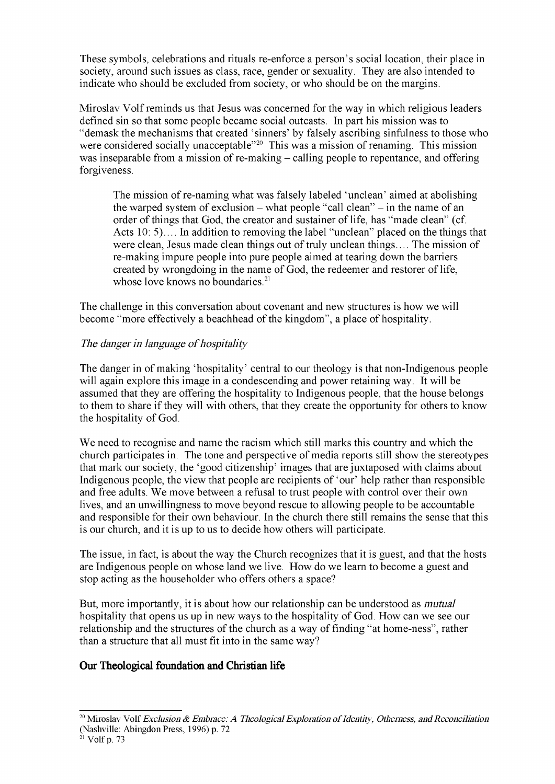These symbols, celebrations and rituals re-enforce a person's social location, their place in society, around such issues as class, race, gender or sexuality. They are also intended to indicate who should be excluded from society, or who should be on the margins.

Miroslav Volf reminds us that Jesus was concerned for the way in which religious leaders defined sin so that some people became social outcasts. In part his mission was to "demask the mechanisms that created 'sinners' by falsely ascribing sinfulness to those who were considered socially unacceptable<sup>"20</sup> This was a mission of renaming. This mission was inseparable from a mission of re-making – calling people to repentance, and offering forgiveness.

The mission of re-naming what was falsely labeled 'unclean' aimed at abolishing the warped system of exclusion – what people "call clean" – in the name of an order of things that God, the creator and sustainer of life, has "made clean" (cf. Acts 10: 5).. In addition to removing the label "unclean" placed on the things that were clean, Jesus made clean things out of truly unclean things.... The mission of re-making impure people into pure people aimed at tearing down the barriers created by wrongdoing in the name of God, the redeemer and restorer of life, whose love knows no boundaries.<sup>21</sup>

The challenge in this conversation about covenant and new structures is how we will become "more effectively a beachhead of the kingdom", a place of hospitality.

# *The danger in language of hospitality*

The danger in of making 'hospitality' central to our theology is that non-Indigenous people will again explore this image in a condescending and power retaining way. It will be assumed that they are offering the hospitality to Indigenous people, that the house belongs to them to share if they will with others, that they create the opportunity for others to know the hospitality of God.

We need to recognise and name the racism which still marks this country and which the church participates in. The tone and perspective of media reports still show the stereotypes that mark our society, the 'good citizenship' images that are juxtaposed with claims about Indigenous people, the view that people are recipients of 'our' help rather than responsible and free adults. We move between a refusal to trust people with control over their own lives, and an unwillingness to move beyond rescue to allowing people to be accountable and responsible for their own behaviour. In the church there still remains the sense that this is our church, and it is up to us to decide how others will participate.

The issue, in fact, is about the way the Church recognizes that it is guest, and that the hosts are Indigenous people on whose land we live. How do we learn to become a guest and stop acting as the householder who offers others a space?

But, more importantly, it is about how our relationship can be understood as *mutual* hospitality that opens us up in new ways to the hospitality of God. How can we see our relationship and the structures of the church as a way of finding "at home-ness", rather than a structure that all must fit into in the same way?

# **Our Theological foundation and Christian life**

<sup>&</sup>lt;sup>20</sup> Miroslav Volf *Exclusion & Embrace: A Theological Exploration of Identity, Otherness, and Reconciliation* (Nashville: Abingdon Press, 1996) p. 72

 $21$  Volf p. 73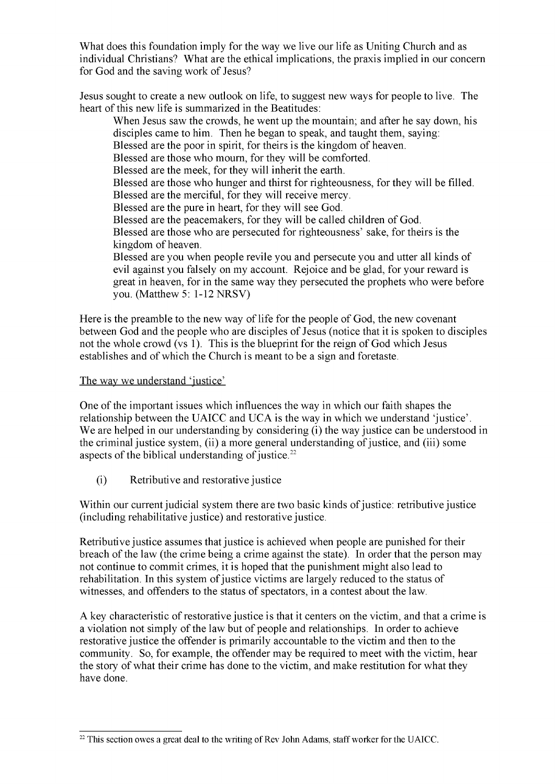What does this foundation imply for the way we live our life as Uniting Church and as individual Christians? What are the ethical implications, the praxis implied in our concern for God and the saving work of Jesus?

Jesus sought to create a new outlook on life, to suggest new ways for people to live. The heart of this new life is summarized in the Beatitudes:

When Jesus saw the crowds, he went up the mountain; and after he say down, his disciples came to him. Then he began to speak, and taught them, saying: Blessed are the poor in spirit, for theirs is the kingdom of heaven. Blessed are those who mourn, for they will be comforted. Blessed are the meek, for they will inherit the earth. Blessed are those who hunger and thirst for righteousness, for they will be filled. Blessed are the merciful, for they will receive mercy. Blessed are the pure in heart, for they will see God. Blessed are the peacemakers, for they will be called children of God. Blessed are those who are persecuted for righteousness' sake, for theirs is the kingdom of heaven. Blessed are you when people revile you and persecute you and utter all kinds of evil against you falsely on my account. Rejoice and be glad, for your reward is great in heaven, for in the same way they persecuted the prophets who were before you. (Matthew 5: 1-12 NRSV)

Here is the preamble to the new way of life for the people of God, the new covenant between God and the people who are disciples of Jesus (notice that it is spoken to disciples not the whole crowd (vs 1). This is the blueprint for the reign of God which Jesus establishes and of which the Church is meant to be a sign and foretaste.

#### The way we understand 'justice'

One of the important issues which influences the way in which our faith shapes the relationship between the UAICC and UCA is the way in which we understand 'justice'. We are helped in our understanding by considering (i) the way justice can be understood in the criminal justice system, (ii) a more general understanding of justice, and (iii) some aspects of the biblical understanding of justice.<sup>22</sup>

(i) Retributive and restorative justice

Within our current judicial system there are two basic kinds of justice: retributive justice (including rehabilitative justice) and restorative justice.

Retributive justice assumes that justice is achieved when people are punished for their breach of the law (the crime being a crime against the state). In order that the person may not continue to commit crimes, it is hoped that the punishment might also lead to rehabilitation. In this system of justice victims are largely reduced to the status of witnesses, and offenders to the status of spectators, in a contest about the law.

A key characteristic of restorative justice is that it centers on the victim, and that a crime is a violation not simply of the law but of people and relationships. In order to achieve restorative justice the offender is primarily accountable to the victim and then to the community. So, for example, the offender may be required to meet with the victim, hear the story of what their crime has done to the victim, and make restitution for what they have done.

 $22$  This section owes a great deal to the writing of Rev John Adams, staff worker for the UAICC.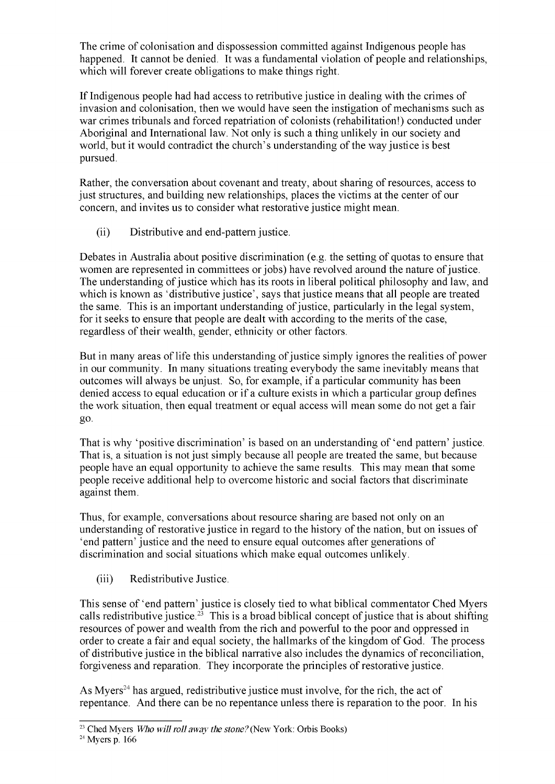The crime of colonisation and dispossession committed against Indigenous people has happened. It cannot be denied. It was a fundamental violation of people and relationships, which will forever create obligations to make things right.

If Indigenous people had had access to retributive justice in dealing with the crimes of invasion and colonisation, then we would have seen the instigation of mechanisms such as war crimes tribunals and forced repatriation of colonists (rehabilitation!) conducted under Aboriginal and International law. Not only is such a thing unlikely in our society and world, but it would contradict the church's understanding of the way justice is best pursued.

Rather, the conversation about covenant and treaty, about sharing of resources, access to just structures, and building new relationships, places the victims at the center of our concern, and invites us to consider what restorative justice might mean.

(ii) Distributive and end-pattern justice.

Debates in Australia about positive discrimination (e.g. the setting of quotas to ensure that women are represented in committees or jobs) have revolved around the nature of justice. The understanding of justice which has its roots in liberal political philosophy and law, and which is known as 'distributive justice', says that justice means that all people are treated the same. This is an important understanding of justice, particularly in the legal system, for it seeks to ensure that people are dealt with according to the merits of the case, regardless of their wealth, gender, ethnicity or other factors.

But in many areas of life this understanding of justice simply ignores the realities of power in our community. In many situations treating everybody the same inevitably means that outcomes will always be unjust. So, for example, if a particular community has been denied access to equal education or if a culture exists in which a particular group defines the work situation, then equal treatment or equal access will mean some do not get a fair go.

That is why 'positive discrimination' is based on an understanding of 'end pattern' justice. That is, a situation is not just simply because all people are treated the same, but because people have an equal opportunity to achieve the same results. This may mean that some people receive additional help to overcome historic and social factors that discriminate against them.

Thus, for example, conversations about resource sharing are based not only on an understanding of restorative justice in regard to the history of the nation, but on issues of 'end pattern' justice and the need to ensure equal outcomes after generations of discrimination and social situations which make equal outcomes unlikely.

(iii) Redistributive Justice.

This sense of 'end pattern' justice is closely tied to what biblical commentator Ched Myers calls redistributive justice.<sup>23</sup> This is a broad biblical concept of justice that is about shifting resources of power and wealth from the rich and powerful to the poor and oppressed in order to create a fair and equal society, the hallmarks ofthe kingdom of God. The process of distributive justice in the biblical narrative also includes the dynamics ofreconciliation, forgiveness and reparation. They incorporate the principles of restorative justice.

As Myers<sup>24</sup> has argued, redistributive justice must involve, for the rich, the act of repentance. And there can be no repentance unless there is reparation to the poor. In his

<sup>&</sup>lt;sup>23</sup> Ched Myers *Who will roll away the stone?* (New York: Orbis Books)

<sup>24</sup> Myers p. 166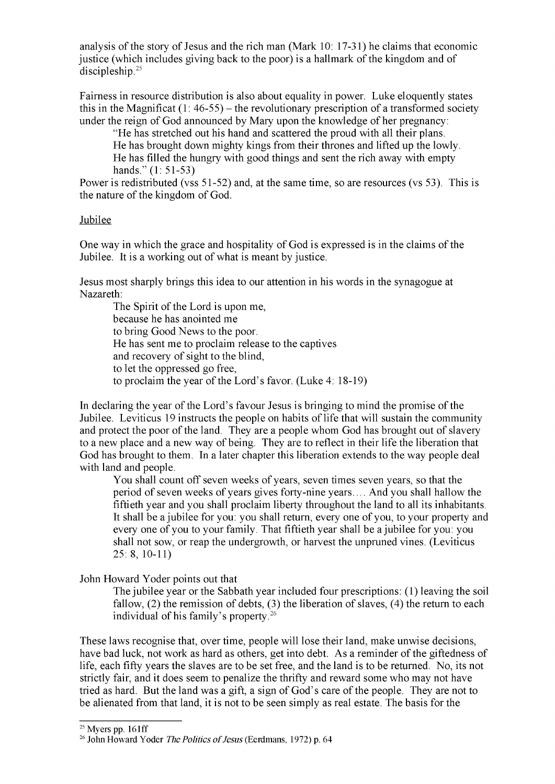analysis of the story of Jesus and the rich man (Mark  $10: 17-31$ ) he claims that economic justice (which includes giving back to the poor) is a hallmark of the kingdom and of discipleship.<sup>25</sup>

Fairness in resource distribution is also about equality in power. Luke eloquently states this in the Magnificat  $(1: 46-55)$  – the revolutionary prescription of a transformed society under the reign of God announced by Mary upon the knowledge of her pregnancy:

"He has stretched out his hand and scattered the proud with all their plans. He has brought down mighty kings from their thrones and lifted up the lowly. He has filled the hungry with good things and sent the rich away with empty hands." (1: 51-53)

Power is redistributed (vss 51-52) and, at the same time, so are resources (vs 53). This is the nature of the kingdom of God.

#### Jubilee

One way in which the grace and hospitality of God is expressed is in the claims of the Jubilee. It is a working out of what is meant by justice.

Jesus most sharply brings this idea to our attention in his words in the synagogue at Nazareth:

The Spirit of the Lord is upon me, because he has anointed me to bring Good News to the poor. He has sent me to proclaim release to the captives and recovery of sight to the blind, to let the oppressed go free, to proclaim the year of the Lord's favor. (Luke  $4: 18-19$ )

In declaring the year of the Lord's favour Jesus is bringing to mind the promise of the Jubilee. Leviticus 19 instructs the people on habits of life that will sustain the community and protect the poor of the land. They are a people whom God has brought out of slavery to a new place and a new way of being. They are to reflect in their life the liberation that God has brought to them. In a later chapter this liberation extends to the way people deal with land and people.

You shall count off seven weeks of years, seven times seven years, so that the period of seven weeks of years gives forty-nine years.... And you shall hallow the fiftieth year and you shall proclaim liberty throughout the land to all its inhabitants. It shall be a jubilee for you: you shall return, every one of you, to your property and every one of you to your family. That fiftieth year shall be a jubilee for you: you shall not sow, or reap the undergrowth, or harvest the unpruned vines. (Leviticus 25: 8, 10-11)

John Howard Yoder points out that

The jubilee year or the Sabbath year included four prescriptions: (1) leaving the soil fallow,  $(2)$  the remission of debts,  $(3)$  the liberation of slaves,  $(4)$  the return to each individual of his family's property.<sup>26</sup>

These laws recognise that, over time, people will lose their land, make unwise decisions, have bad luck, not work as hard as others, get into debt. As a reminder of the giftedness of life, each fifty years the slaves are to be set free, and the land is to be returned. No, its not strictly fair, and it does seem to penalize the thrifty and reward some who may not have tried as hard. But the land was a gift, a sign of God's care of the people. They are not to be alienated from that land, it is not to be seen simply as real estate. The basis for the

 $25$  Myers pp. 161ff

<sup>&</sup>lt;sup>26</sup> John Howard Yoder *The Politics of Jesus* (Eerdmans, 1972) p. 64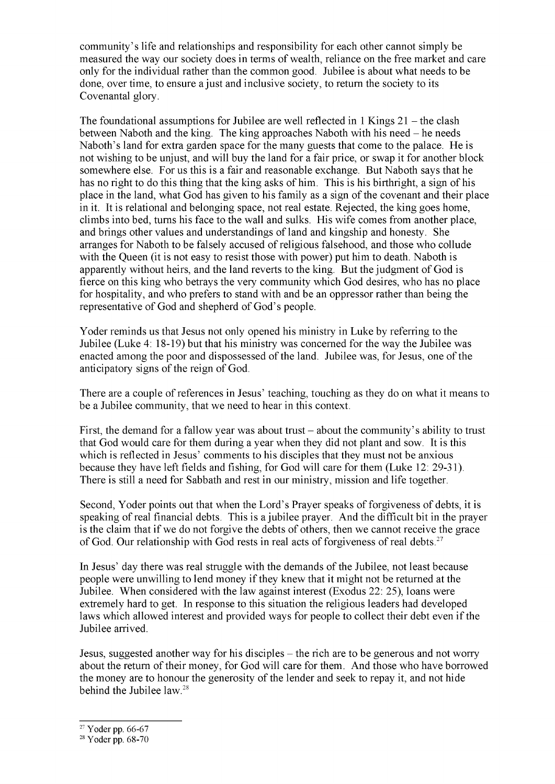community's life and relationships and responsibility for each other cannot simply be measured the way our society does in terms of wealth, reliance on the free market and care only for the individual rather than the common good. Jubilee is about what needs to be done, over time, to ensure a just and inclusive society, to return the society to its Covenantal glory.

The foundational assumptions for Jubilee are well reflected in 1 Kings  $21$  – the clash between Naboth and the king. The king approaches Naboth with his need – he needs Naboth's land for extra garden space for the many guests that come to the palace. He is not wishing to be unjust, and will buy the land for a fair price, or swap it for another block somewhere else. For us this is a fair and reasonable exchange. But Naboth says that he has no right to do this thing that the king asks of him. This is his birthright, a sign of his place in the land, what God has given to his family as a sign of the covenant and their place in it. It is relational and belonging space, not real estate. Rejected, the king goes home, climbs into bed, turns his face to the wall and sulks. His wife comes from another place, and brings other values and understandings of land and kingship and honesty. She arranges for Naboth to be falsely accused of religious falsehood, and those who collude with the Queen (it is not easy to resist those with power) put him to death. Naboth is apparently without heirs, and the land reverts to the king. But the judgment of God is fierce on this king who betrays the very community which God desires, who has no place for hospitality, and who prefers to stand with and be an oppressor rather than being the representative of God and shepherd of God's people.

Yoder reminds us that Jesus not only opened his ministry in Luke by referring to the Jubilee (Luke 4: 18-19) but that his ministry was concerned for the way the Jubilee was enacted among the poor and dispossessed of the land. Jubilee was, for Jesus, one of the anticipatory signs of the reign of God.

There are a couple of references in Jesus' teaching, touching as they do on what it means to be a Jubilee community, that we need to hear in this context.

First, the demand for a fallow year was about trust  $-$  about the community's ability to trust that God would care for them during a year when they did not plant and sow. It is this which is reflected in Jesus' comments to his disciples that they must not be anxious because they have left fields and fishing, for God will care for them (Luke 12: 29-31). There is still a need for Sabbath and rest in our ministry, mission and life together.

Second, Yoder points out that when the Lord's Prayer speaks of forgiveness of debts, it is speaking of real financial debts. This is a jubilee prayer. And the difficult bit in the prayer is the claim that if we do not forgive the debts of others, then we cannot receive the grace of God. Our relationship with God rests in real acts of forgiveness of real debts.<sup>27</sup>

In Jesus' day there was real struggle with the demands ofthe Jubilee, not least because people were unwilling to lend money if they knew that it might not be returned at the Jubilee. When considered with the law against interest (Exodus 22: 25), loans were extremely hard to get. In response to this situation the religious leaders had developed laws which allowed interest and provided ways for people to collect their debt even if the Jubilee arrived.

Jesus, suggested another way for his disciples – the rich are to be generous and not worry about the return of their money, for God will care for them. And those who have borrowed the money are to honour the generosity of the lender and seek to repay it, and not hide behind the Jubilee law.<sup>28</sup>

 $27$  Yoder pp. 66-67

<sup>28</sup> Yoder pp. 68-70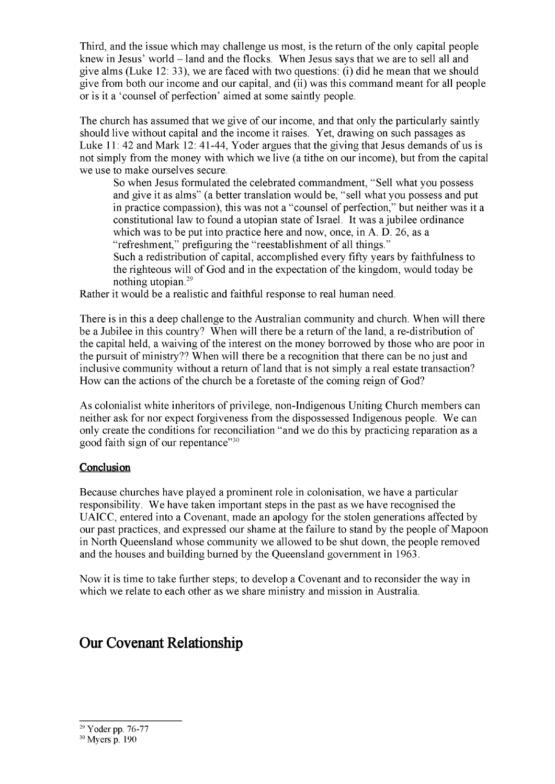Third, and the issue which may challenge us most, is the return of the only capital people knew in Jesus' world - land and the flocks. When Jesus says that we are to sell all and give alms (Luke 12: 33), we are faced with two questions: (i) did he mean that we should give from both our income and our capital, and (ii) was this command meant for all people or is it a 'counsel of perfection' aimed at some saintly people.

The church has assumed that we give of our income, and that only the particularly saintly should live without capital and the income it raises. Yet, drawing on such passages as Luke 11: 42 and Mark 12: 41-44, Yoder argues that the giving that Jesus demands of us is not simply from the money with which we live (a tithe on our income), but from the capital we use to make ourselves secure.

So when Jesus formulated the celebrated commandment, "Sell what you possess and give it as alms" (a better translation would be, "sell what you possess and put in practice compassion), this was not a "counsel of perfection," but neither was it a constitutional law to found a utopian state ofIsrael. It was a jubilee ordinance which was to be put into practice here and now, once, in A. D. 26, as a "refreshment," prefiguring the "reestablishment of all things." Such a redistribution of capital, accomplished every fifty years by faithfulness to the righteous will of God and in the expectation of the kingdom, would today be nothing utopian.29

Rather it would be a realistic and faithful response to real human need.

There is in this a deep challenge to the Australian community and church. When will there be a Jubilee in this country? When will there be a return of the land, a re-distribution of the capital held, a waiving of the interest on the money borrowed by those who are poor in the pursuit of ministry?? When will there be a recognition that there can be no just and inclusive community without a return of land that is not simply a real estate transaction? How can the actions of the church be a foretaste of the coming reign of God?

As colonialist white inheritors of privilege, non-Indigenous Uniting Church members can neither ask for nor expect forgiveness from the dispossessed Indigenous people. We can only create the conditions for reconciliation "and we do this by practicing reparation as a good faith sign of our repentance"30

# **Conclusion**

Because churches have played a prominent role in colonisation, we have a particular responsibility. We have taken important steps in the past as we have recognised the UAICC, entered into a Covenant, made an apology for the stolen generations affected by our past practices, and expressed our shame at the failure to stand by the people of Mapoon in North Queensland whose community we allowed to be shut down, the people removed and the houses and building burned by the Queensland government in 1963.

Now it is time to take further steps; to develop a Covenant and to reconsider the way in which we relate to each other as we share ministry and mission in Australia.

# **Our Covenant Relationship**

<sup>29</sup> Yoder pp. 76-77

<sup>30</sup> Myers p. 190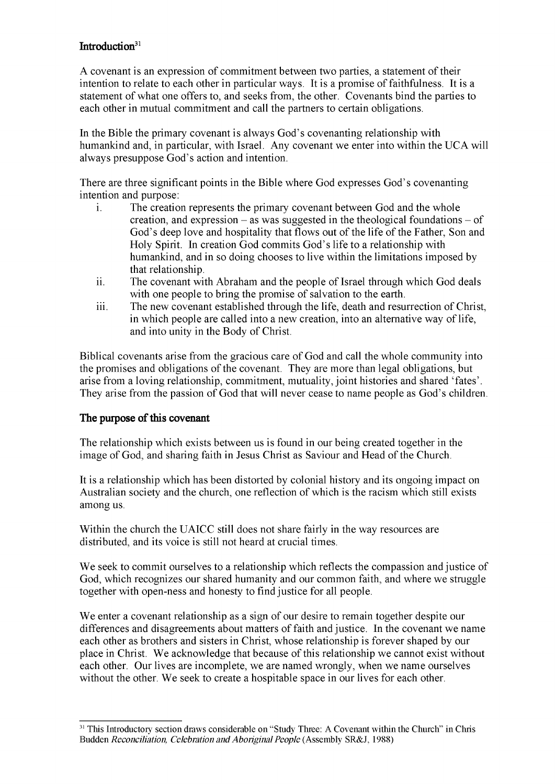# **Introduction<sup>31</sup>**

A covenant is an expression of commitment between two parties, a statement oftheir intention to relate to each other in particular ways. It is a promise of faithfulness. It is a statement of what one offers to, and seeks from, the other. Covenants bind the parties to each other in mutual commitment and call the partners to certain obligations.

In the Bible the primary covenant is always God's covenanting relationship with humankind and, in particular, with Israel. Any covenant we enter into within the UCA will always presuppose God's action and intention.

There are three significant points in the Bible where God expresses God's covenanting intention and purpose:

- i. The creation represents the primary covenant between God and the whole creation, and expression  $-\text{as was suggested in the theological foundations} - \text{of}$ God's deep love and hospitality that flows out of the life of the Father, Son and Holy Spirit. In creation God commits God's life to a relationship with humankind, and in so doing chooses to live within the limitations imposed by that relationship.
- ii. The covenant with Abraham and the people of Israel through which God deals with one people to bring the promise of salvation to the earth.
- iii. The new covenant established through the life, death and resurrection of Christ, in which people are called into a new creation, into an alternative way of life, and into unity in the Body of Christ.

Biblical covenants arise from the gracious care of God and call the whole community into the promises and obligations of the covenant. They are more than legal obligations, but arise from a loving relationship, commitment, mutuality, joint histories and shared 'fates'. They arise from the passion of God that will never cease to name people as God's children.

# The purpose of this covenant

The relationship which exists between us is found in our being created together in the image of God, and sharing faith in Jesus Christ as Saviour and Head of the Church.

It is a relationship which has been distorted by colonial history and its ongoing impact on Australian society and the church, one reflection of which is the racism which still exists among us.

Within the church the UAICC still does not share fairly in the way resources are distributed, and its voice is still not heard at crucial times.

We seek to commit ourselves to a relationship which reflects the compassion and justice of God, which recognizes our shared humanity and our common faith, and where we struggle together with open-ness and honesty to find justice for all people.

We enter a covenant relationship as a sign of our desire to remain together despite our differences and disagreements about matters of faith and justice. In the covenant we name each other as brothers and sisters in Christ, whose relationship is forever shaped by our place in Christ. We acknowledge that because of this relationship we cannot exist without each other. Our lives are incomplete, we are named wrongly, when we name ourselves without the other. We seek to create a hospitable space in our lives for each other.

<sup>&</sup>lt;sup>31</sup> This Introductory section draws considerable on "Study Three: A Covenant within the Church" in Chris Budden *Reconciliation, Celebration andAboriginalPeople* (Assembly SR&J, 1988)